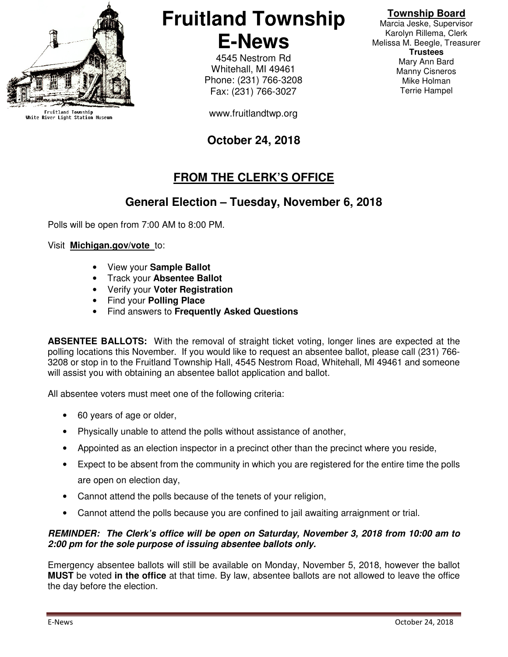

Fruitland Township<br>White River Light Station Museum

# **Fruitland Township E-News**

4545 Nestrom Rd Whitehall, MI 49461 Phone: (231) 766-3208 Fax: (231) 766-3027

www.fruitlandtwp.org

# **October 24, 2018**

# **FROM THE CLERK'S OFFICE**

# **General Election – Tuesday, November 6, 2018**

Polls will be open from 7:00 AM to 8:00 PM.

#### Visit **Michigan.gov/vote** to:

- View your **Sample Ballot**
- Track your **Absentee Ballot**
- Verify your **Voter Registration**
- Find your **Polling Place**
- Find answers to **Frequently Asked Questions**

**ABSENTEE BALLOTS:** With the removal of straight ticket voting, longer lines are expected at the polling locations this November. If you would like to request an absentee ballot, please call (231) 766- 3208 or stop in to the Fruitland Township Hall, 4545 Nestrom Road, Whitehall, MI 49461 and someone will assist you with obtaining an absentee ballot application and ballot.

All absentee voters must meet one of the following criteria:

- 60 years of age or older,
- Physically unable to attend the polls without assistance of another,
- Appointed as an election inspector in a precinct other than the precinct where you reside,
- Expect to be absent from the community in which you are registered for the entire time the polls are open on election day,
- Cannot attend the polls because of the tenets of your religion,
- Cannot attend the polls because you are confined to jail awaiting arraignment or trial.

#### **REMINDER: The Clerk's office will be open on Saturday, November 3, 2018 from 10:00 am to 2:00 pm for the sole purpose of issuing absentee ballots only.**

Emergency absentee ballots will still be available on Monday, November 5, 2018, however the ballot **MUST** be voted **in the office** at that time. By law, absentee ballots are not allowed to leave the office the day before the election.

### **Township Board**

Marcia Jeske, Supervisor Karolyn Rillema, Clerk Melissa M. Beegle, Treasurer **Trustees**  Mary Ann Bard Manny Cisneros Mike Holman Terrie Hampel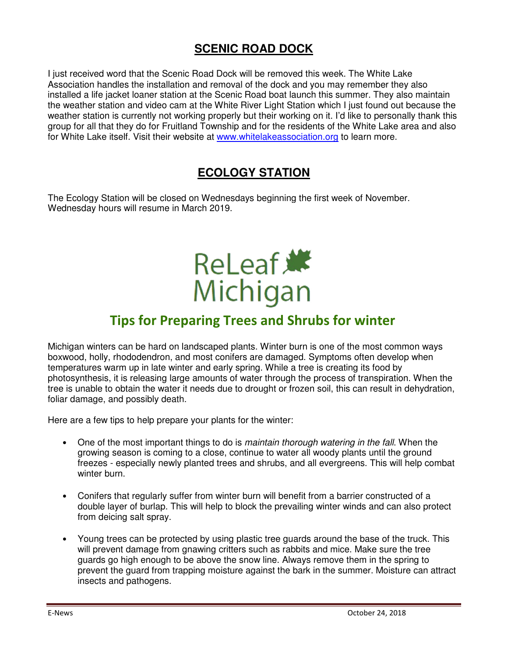# **SCENIC ROAD DOCK**

I just received word that the Scenic Road Dock will be removed this week. The White Lake Association handles the installation and removal of the dock and you may remember they also installed a life jacket loaner station at the Scenic Road boat launch this summer. They also maintain the weather station and video cam at the White River Light Station which I just found out because the weather station is currently not working properly but their working on it. I'd like to personally thank this group for all that they do for Fruitland Township and for the residents of the White Lake area and also for White Lake itself. Visit their website at www.whitelakeassociation.org to learn more.

# **ECOLOGY STATION**

The Ecology Station will be closed on Wednesdays beginning the first week of November. Wednesday hours will resume in March 2019.

# ReLeaf \* Michigan

# Tips for Preparing Trees and Shrubs for winter

Michigan winters can be hard on landscaped plants. Winter burn is one of the most common ways boxwood, holly, rhododendron, and most conifers are damaged. Symptoms often develop when temperatures warm up in late winter and early spring. While a tree is creating its food by photosynthesis, it is releasing large amounts of water through the process of transpiration. When the tree is unable to obtain the water it needs due to drought or frozen soil, this can result in dehydration, foliar damage, and possibly death.

Here are a few tips to help prepare your plants for the winter:

- One of the most important things to do is maintain thorough watering in the fall. When the growing season is coming to a close, continue to water all woody plants until the ground freezes - especially newly planted trees and shrubs, and all evergreens. This will help combat winter burn.
- Conifers that regularly suffer from winter burn will benefit from a barrier constructed of a double layer of burlap. This will help to block the prevailing winter winds and can also protect from deicing salt spray.
- Young trees can be protected by using plastic tree guards around the base of the truck. This will prevent damage from gnawing critters such as rabbits and mice. Make sure the tree guards go high enough to be above the snow line. Always remove them in the spring to prevent the guard from trapping moisture against the bark in the summer. Moisture can attract insects and pathogens.